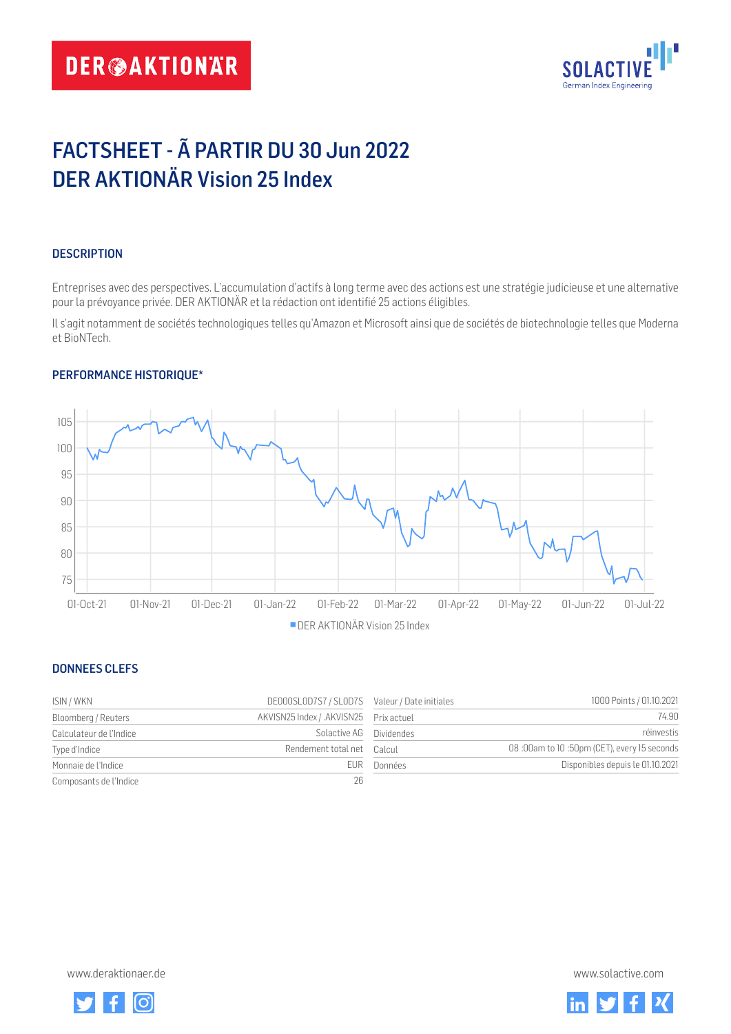# **DER@AKTIONAR**



# FACTSHEET - Ã PARTIR DU 30 Jun 2022 DER AKTIONÄR Vision 25 Index

## **DESCRIPTION**

Entreprises avec des perspectives. L'accumulation d'actifs à long terme avec des actions est une stratégie judicieuse et une alternative pour la prévoyance privée. DER AKTIONÄR et la rédaction ont identifié 25 actions éligibles.

Il s'agit notamment de sociétés technologiques telles qu'Amazon et Microsoft ainsi que de sociétés de biotechnologie telles que Moderna et BioNTech.

### PERFORMANCE HISTORIQUE\*



### DONNEES CLEFS

| ISIN / WKN              | DE000SL0D7S7 / SL0D7S Valeur / Date initiales |         | 1000 Points / 01.10.2021                   |
|-------------------------|-----------------------------------------------|---------|--------------------------------------------|
| Bloomberg / Reuters     | AKVISN25 Index / .AKVISN25 Prix actuel        |         | 74.90                                      |
| Calculateur de l'Indice | Solactive AG Dividendes                       |         | réinvestis                                 |
| Type d'Indice           | Rendement total net Calcul                    |         | 08:00am to 10:50pm (CET), every 15 seconds |
| Monnaie de l'Indice     | FUR.                                          | Données | Disponibles depuis le 01.10.2021           |
| Composants de l'Indice  | 26                                            |         |                                            |

| Valeur / Date initiales | 1000 Points / 01.10.2021                   |
|-------------------------|--------------------------------------------|
| Prix actuel             | 74.90                                      |
| <b>Dividendes</b>       | réinvestis                                 |
| Calcul                  | 08:00am to 10:50pm (CET), every 15 seconds |
| Données                 | Disponibles depuis le 01.10.2021           |

<www.deraktionaer.de> [www.solactive.com](https://solactive.com)



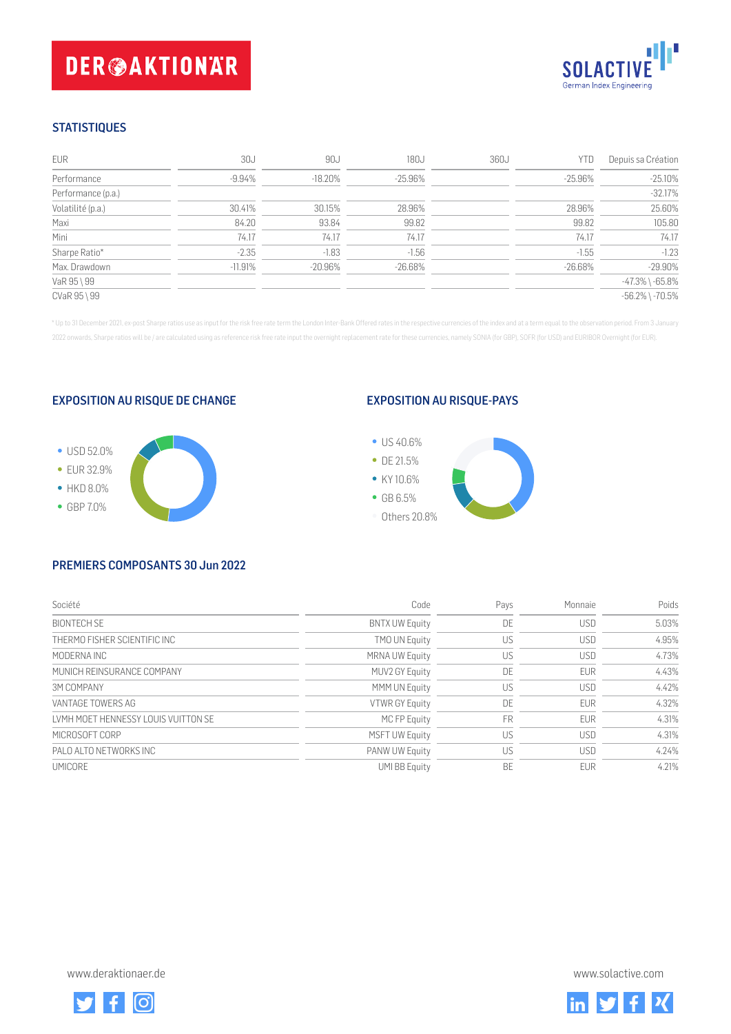# **DER@AKTIONAR**



## **STATISTIQUES**

| EUR                | 30J        | 90J        | 180J       | 360J | YTD     | Depuis sa Création    |
|--------------------|------------|------------|------------|------|---------|-----------------------|
| Performance        | $-9.94%$   | $-18.20\%$ | -25.96%    |      | -25.96% | $-25.10%$             |
| Performance (p.a.) |            |            |            |      |         | $-32.17%$             |
| Volatilité (p.a.)  | 30.41%     | 30.15%     | 28.96%     |      | 28.96%  | 25.60%                |
| Maxi               | 84.20      | 93.84      | 99.82      |      | 99.82   | 105.80                |
| Mini               | 74.17      | 74.17      | 74.17      |      | 74.17   | 74.17                 |
| Sharpe Ratio*      | $-2.35$    | $-1.83$    | $-1.56$    |      | $-1.55$ | $-1.23$               |
| Max. Drawdown      | $-11.91\%$ | $-20.96\%$ | $-26.68\%$ |      | -26.68% | $-29.90%$             |
| VaR 95 \ 99        |            |            |            |      |         | $-47.3\%$ \ $-65.8\%$ |
| CVaR 95 \ 99       |            |            |            |      |         | $-56.2\%$ \ $-70.5\%$ |

\* Up to 31 December 2021, ex-post Sharpe ratios use as input for the risk free rate term the London Inter-Bank Offered rates in the respective currencies of the index and at a term equal to the observation period. From 3 J 2022 onwards, Sharpe ratios will be / are calculated using as reference risk free rate input the overnight replacement rate for these currencies, namely SONIA (for GBP), SOFR (for USD) and EURIBOR Overnight (for EUR).

### EXPOSITION AU RISQUE DE CHANGE



### EXPOSITION AU RISQUE-PAYS



#### PREMIERS COMPOSANTS 30 Jun 2022

| Société                              | Code                  | Pays      | Monnaie    | Poids |
|--------------------------------------|-----------------------|-----------|------------|-------|
| BIONTECH SE                          | <b>BNTX UW Equity</b> | DE        | <b>USD</b> | 5.03% |
| THERMO FISHER SCIENTIFIC INC         | <b>TMO UN Equity</b>  | US        | <b>USD</b> | 4.95% |
| MODERNA INC                          | <b>MRNA UW Equity</b> | US        | <b>USD</b> | 4.73% |
| MUNICH REINSURANCE COMPANY           | MUV2 GY Equity        | DE        | <b>EUR</b> | 4.43% |
| <b>3M COMPANY</b>                    | <b>MMM UN Equity</b>  | US        | <b>USD</b> | 4.42% |
| VANTAGE TOWERS AG                    | VTWR GY Equity        | DE        | <b>EUR</b> | 4.32% |
| I VMH MOFT HENNESSY LOUIS VUITTON SE | MC FP Equity          | <b>FR</b> | <b>EUR</b> | 4.31% |
| MICROSOFT CORP                       | <b>MSFT UW Equity</b> | US        | <b>USD</b> | 4.31% |
| PALO ALTO NETWORKS INC               | PANW UW Equity        | US        | <b>USD</b> | 4.24% |
| <b>UMICORF</b>                       | <b>UMI BB Equity</b>  | <b>BF</b> | <b>FUR</b> | 4.21% |

<www.deraktionaer.de> [www.solactive.com](https://solactive.com)